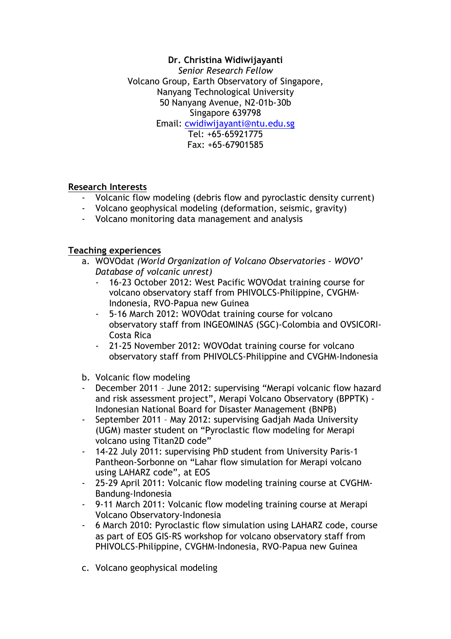#### **Dr. Christina Widiwijayanti** *Senior Research Fellow*

Volcano Group, Earth Observatory of Singapore, Nanyang Technological University 50 Nanyang Avenue, N2-01b-30b Singapore 639798 Email: cwidiwijayanti@ntu.edu.sg Tel: +65-65921775 Fax: +65-67901585

# **Research Interests**

- Volcanic flow modeling (debris flow and pyroclastic density current)
- Volcano geophysical modeling (deformation, seismic, gravity)
- Volcano monitoring data management and analysis

# **Teaching experiences**

- a. WOVOdat *(World Organization of Volcano Observatories – WOVO' Database of volcanic unrest)* 
	- 16-23 October 2012: West Pacific WOVOdat training course for volcano observatory staff from PHIVOLCS-Philippine, CVGHM-Indonesia, RVO-Papua new Guinea
	- 5-16 March 2012: WOVOdat training course for volcano observatory staff from INGEOMINAS (SGC)-Colombia and OVSICORI-Costa Rica
	- 21-25 November 2012: WOVOdat training course for volcano observatory staff from PHIVOLCS-Philippine and CVGHM-Indonesia
- b. Volcanic flow modeling
- December 2011 June 2012: supervising "Merapi volcanic flow hazard and risk assessment project", Merapi Volcano Observatory (BPPTK) - Indonesian National Board for Disaster Management (BNPB)
- September 2011 May 2012: supervising Gadjah Mada University (UGM) master student on "Pyroclastic flow modeling for Merapi volcano using Titan2D code"
- 14-22 July 2011: supervising PhD student from University Paris-1 Pantheon-Sorbonne on "Lahar flow simulation for Merapi volcano using LAHARZ code", at EOS
- 25-29 April 2011: Volcanic flow modeling training course at CVGHM-Bandung-Indonesia
- 9-11 March 2011: Volcanic flow modeling training course at Merapi Volcano Observatory-Indonesia
- 6 March 2010: Pyroclastic flow simulation using LAHARZ code, course as part of EOS GIS-RS workshop for volcano observatory staff from PHIVOLCS-Philippine, CVGHM-Indonesia, RVO-Papua new Guinea
- c. Volcano geophysical modeling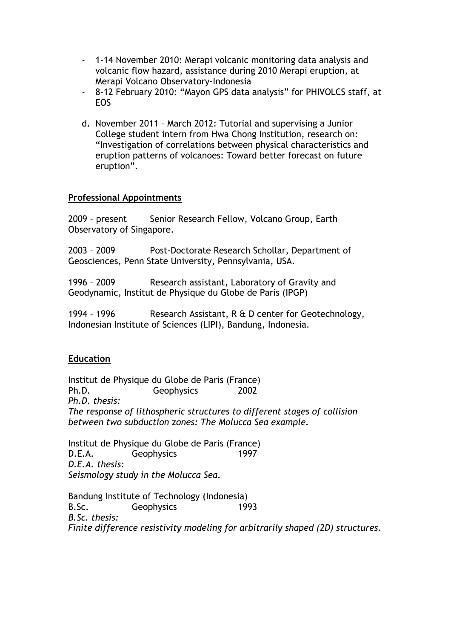- 1-14 November 2010: Merapi volcanic monitoring data analysis and volcanic flow hazard, assistance during 2010 Merapi eruption, at Merapi Volcano Observatory-Indonesia
- 8-12 February 2010: "Mayon GPS data analysis" for PHIVOLCS staff, at EOS
- d. November 2011 March 2012: Tutorial and supervising a Junior College student intern from Hwa Chong Institution, research on: "Investigation of correlations between physical characteristics and eruption patterns of volcanoes: Toward better forecast on future eruption".

## **Professional Appointments**

2009 - present Senior Research Fellow, Volcano Group, Earth Observatory of Singapore.

2003 – 2009 Post-Doctorate Research Schollar, Department of Geosciences, Penn State University, Pennsylvania, USA.

1996 – 2009 Research assistant, Laboratory of Gravity and Geodynamic, Institut de Physique du Globe de Paris (IPGP)

1994 – 1996 Research Assistant, R & D center for Geotechnology, Indonesian Institute of Sciences (LIPI), Bandung, Indonesia.

# **Education**

Institut de Physique du Globe de Paris (France) Ph.D. Geophysics 2002 *Ph.D. thesis: The response of lithospheric structures to different stages of collision between two subduction zones: The Molucca Sea example.*

Institut de Physique du Globe de Paris (France) D.E.A. Geophysics 1997 *D.E.A. thesis: Seismology study in the Molucca Sea.*

Bandung Institute of Technology (Indonesia) B.Sc. Geophysics 1993 *B.Sc. thesis: Finite difference resistivity modeling for arbitrarily shaped (2D) structures.*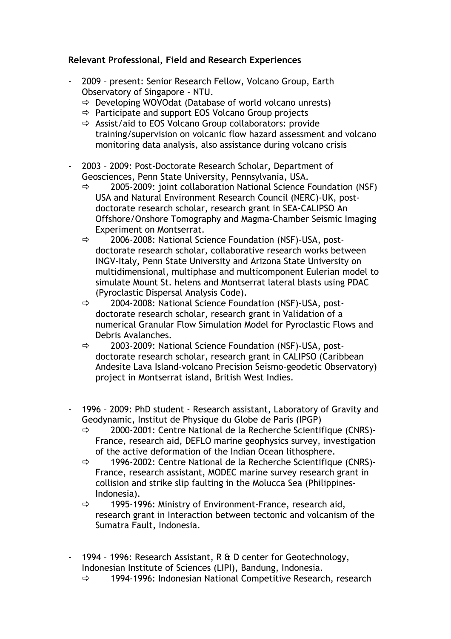## **Relevant Professional, Field and Research Experiences**

- 2009 present: Senior Research Fellow, Volcano Group, Earth Observatory of Singapore - NTU.
	- $\Rightarrow$  Developing WOVOdat (Database of world volcano unrests)
	- $\Rightarrow$  Participate and support EOS Volcano Group projects
	- $\Rightarrow$  Assist/aid to EOS Volcano Group collaborators: provide training/supervision on volcanic flow hazard assessment and volcano monitoring data analysis, also assistance during volcano crisis
- 2003 2009: Post-Doctorate Research Scholar, Department of Geosciences, Penn State University, Pennsylvania, USA.
	- $\Rightarrow$  2005-2009: joint collaboration National Science Foundation (NSF) USA and Natural Environment Research Council (NERC)-UK, postdoctorate research scholar, research grant in SEA-CALIPSO An Offshore/Onshore Tomography and Magma-Chamber Seismic Imaging Experiment on Montserrat.
	- $\Rightarrow$  2006-2008: National Science Foundation (NSF)-USA, postdoctorate research scholar, collaborative research works between INGV-Italy, Penn State University and Arizona State University on multidimensional, multiphase and multicomponent Eulerian model to simulate Mount St. helens and Montserrat lateral blasts using PDAC (Pyroclastic Dispersal Analysis Code).
	- $\Rightarrow$  2004-2008: National Science Foundation (NSF)-USA, postdoctorate research scholar, research grant in Validation of a numerical Granular Flow Simulation Model for Pyroclastic Flows and Debris Avalanches.
	- $\Rightarrow$  2003-2009: National Science Foundation (NSF)-USA, postdoctorate research scholar, research grant in CALIPSO (Caribbean Andesite Lava Island-volcano Precision Seismo-geodetic Observatory) project in Montserrat island, British West Indies.
- 1996 2009: PhD student Research assistant, Laboratory of Gravity and Geodynamic, Institut de Physique du Globe de Paris (IPGP)
	- $\Rightarrow$  2000-2001: Centre National de la Recherche Scientifique (CNRS)-France, research aid, DEFLO marine geophysics survey, investigation of the active deformation of the Indian Ocean lithosphere.
	- $\Rightarrow$  1996-2002: Centre National de la Recherche Scientifique (CNRS)-France, research assistant, MODEC marine survey research grant in collision and strike slip faulting in the Molucca Sea (Philippines-Indonesia).
	- $\Rightarrow$  1995-1996: Ministry of Environment-France, research aid, research grant in Interaction between tectonic and volcanism of the Sumatra Fault, Indonesia.
- 1994 1996: Research Assistant, R & D center for Geotechnology, Indonesian Institute of Sciences (LIPI), Bandung, Indonesia.
	- $\Rightarrow$  1994-1996: Indonesian National Competitive Research, research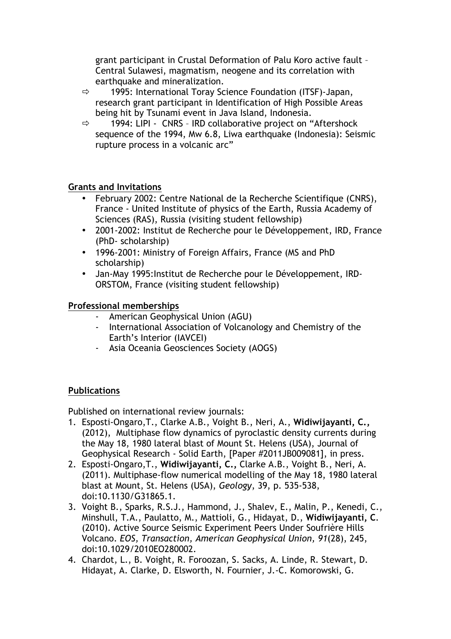grant participant in Crustal Deformation of Palu Koro active fault – Central Sulawesi, magmatism, neogene and its correlation with earthquake and mineralization.

- $\Rightarrow$  1995: International Toray Science Foundation (ITSF)-Japan, research grant participant in Identification of High Possible Areas being hit by Tsunami event in Java Island, Indonesia.
- $\Rightarrow$  1994: LIPI CNRS IRD collaborative project on "Aftershock" sequence of the 1994, Mw 6.8, Liwa earthquake (Indonesia): Seismic rupture process in a volcanic arc"

# **Grants and Invitations**

- February 2002: Centre National de la Recherche Scientifique (CNRS), France - United Institute of physics of the Earth, Russia Academy of Sciences (RAS), Russia (visiting student fellowship)
- 2001-2002: Institut de Recherche pour le Développement, IRD, France (PhD- scholarship)
- 1996-2001: Ministry of Foreign Affairs, France (MS and PhD scholarship)
- Jan-May 1995:Institut de Recherche pour le Développement, IRD-ORSTOM, France (visiting student fellowship)

# **Professional memberships**

- American Geophysical Union (AGU)
- International Association of Volcanology and Chemistry of the Earth's Interior (IAVCEI)
- Asia Oceania Geosciences Society (AOGS)

# **Publications**

Published on international review journals:

- 1. Esposti-Ongaro,T., Clarke A.B., Voight B., Neri, A., **Widiwijayanti, C.,** (2012), Multiphase flow dynamics of pyroclastic density currents during the May 18, 1980 lateral blast of Mount St. Helens (USA), Journal of Geophysical Research - Solid Earth, [Paper #2011JB009081], in press.
- 2. Esposti-Ongaro,T., **Widiwijayanti, C.,** Clarke A.B., Voight B., Neri, A. (2011). Multiphase-flow numerical modelling of the May 18, 1980 lateral blast at Mount, St. Helens (USA), *Geology*, 39, p. 535-538, doi:10.1130/G31865.1.
- 3. Voight B., Sparks, R.S.J., Hammond, J., Shalev, E., Malin, P., Kenedi, C., Minshull, T.A., Paulatto, M., Mattioli, G., Hidayat, D., **Widiwijayanti, C**. (2010). Active Source Seismic Experiment Peers Under Soufrière Hills Volcano. *EOS, Transaction, American Geophysical Union, 91*(28), 245, doi:10.1029/2010EO280002.
- 4. Chardot, L., B. Voight, R. Foroozan, S. Sacks, A. Linde, R. Stewart, D. Hidayat, A. Clarke, D. Elsworth, N. Fournier, J.-C. Komorowski, G.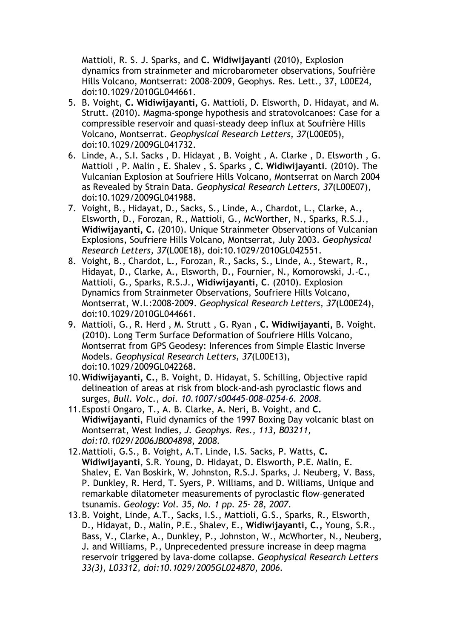Mattioli, R. S. J. Sparks, and **C. Widiwijayanti** (2010), Explosion dynamics from strainmeter and microbarometer observations, Soufrière Hills Volcano, Montserrat: 2008–2009, Geophys. Res. Lett., 37, L00E24, doi:10.1029/2010GL044661.

- 5. B. Voight, **C. Widiwijayanti,** G. Mattioli, D. Elsworth, D. Hidayat, and M. Strutt. (2010). Magma-sponge hypothesis and stratovolcanoes: Case for a compressible reservoir and quasi-steady deep influx at Soufrière Hills Volcano, Montserrat. *Geophysical Research Letters, 37*(L00E05), doi:10.1029/2009GL041732.
- 6. Linde, A., S.I. Sacks , D. Hidayat , B. Voight , A. Clarke , D. Elsworth , G. Mattioli , P. Malin , E. Shalev , S. Sparks , **C. Widiwijayanti**. (2010). The Vulcanian Explosion at Soufriere Hills Volcano, Montserrat on March 2004 as Revealed by Strain Data. *Geophysical Research Letters, 37*(L00E07), doi:10.1029/2009GL041988.
- 7. Voight, B., Hidayat, D., Sacks, S., Linde, A., Chardot, L., Clarke, A., Elsworth, D., Forozan, R., Mattioli, G., McWorther, N., Sparks, R.S.J., **Widiwijayanti, C.** (2010). Unique Strainmeter Observations of Vulcanian Explosions, Soufriere Hills Volcano, Montserrat, July 2003. *Geophysical Research Letters, 37*(L00E18), doi:10.1029/2010GL042551.
- 8. Voight, B., Chardot, L., Forozan, R., Sacks, S., Linde, A., Stewart, R., Hidayat, D., Clarke, A., Elsworth, D., Fournier, N., Komorowski, J.-C., Mattioli, G., Sparks, R.S.J., **Widiwijayanti, C**. (2010). Explosion Dynamics from Strainmeter Observations, Soufriere Hills Volcano, Montserrat, W.I.:2008-2009. *Geophysical Research Letters, 37*(L00E24), doi:10.1029/2010GL044661.
- 9. Mattioli, G., R. Herd , M. Strutt , G. Ryan , **C. Widiwijayanti,** B. Voight. (2010). Long Term Surface Deformation of Soufriere Hills Volcano, Montserrat from GPS Geodesy: Inferences from Simple Elastic Inverse Models. *Geophysical Research Letters, 37*(L00E13), doi:10.1029/2009GL042268.
- 10.**Widiwijayanti, C.**, B. Voight, D. Hidayat, S. Schilling, Objective rapid delineation of areas at risk from block-and-ash pyroclastic flows and surges, *Bull. Volc., doi. 10.1007/s00445-008-0254-6. 2008.*
- 11.Esposti Ongaro, T., A. B. Clarke, A. Neri, B. Voight, and **C. Widiwijayanti**, Fluid dynamics of the 1997 Boxing Day volcanic blast on Montserrat, West Indies*, J. Geophys. Res., 113, B03211, doi:10.1029/2006JB004898, 2008.*
- 12.Mattioli, G.S., B. Voight, A.T. Linde, I.S. Sacks, P. Watts, **C. Widiwijayanti**, S.R. Young, D. Hidayat, D. Elsworth, P.E. Malin, E. Shalev, E. Van Boskirk, W. Johnston, R.S.J. Sparks, J. Neuberg, V. Bass, P. Dunkley, R. Herd, T. Syers, P. Williams, and D. Williams, Unique and remarkable dilatometer measurements of pyroclastic flow–generated tsunamis. *Geology: Vol. 35, No. 1 pp. 25– 28, 2007.*
- 13.B. Voight, Linde, A.T., Sacks, I.S., Mattioli, G.S., Sparks, R., Elsworth, D., Hidayat, D., Malin, P.E., Shalev, E., **Widiwijayanti, C.,** Young, S.R., Bass, V., Clarke, A., Dunkley, P., Johnston, W., McWhorter, N., Neuberg, J. and Williams, P., Unprecedented pressure increase in deep magma reservoir triggered by lava-dome collapse. *Geophysical Research Letters 33(3), L03312, doi:10.1029/2005GL024870*, *2006.*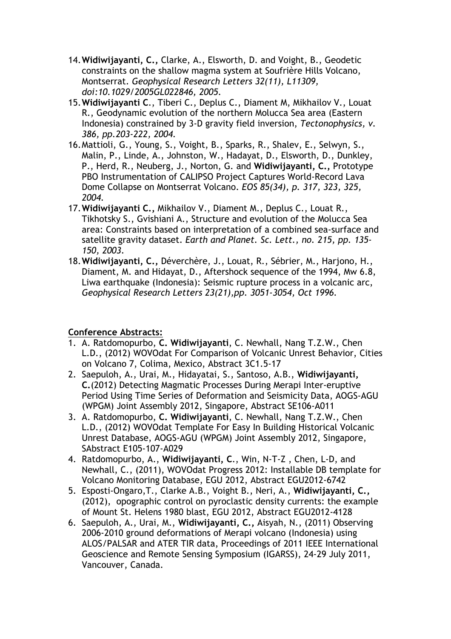- 14.**Widiwijayanti, C.,** Clarke, A., Elsworth, D. and Voight, B., Geodetic constraints on the shallow magma system at Soufrière Hills Volcano, Montserrat. *Geophysical Research Letters 32(11), L11309, doi:10.1029/2005GL022846, 2005.*
- 15.**Widiwijayanti C**., Tiberi C., Deplus C., Diament M, Mikhailov V., Louat R., Geodynamic evolution of the northern Molucca Sea area (Eastern Indonesia) constrained by 3-D gravity field inversion, *Tectonophysics, v. 386, pp.203-222, 2004.*
- 16.Mattioli, G., Young, S., Voight, B., Sparks, R., Shalev, E., Selwyn, S., Malin, P., Linde, A., Johnston, W., Hadayat, D., Elsworth, D., Dunkley, P., Herd, R., Neuberg, J., Norton, G. and **Widiwijayanti, C.,** Prototype PBO Instrumentation of CALIPSO Project Captures World-Record Lava Dome Collapse on Montserrat Volcano. *EOS 85(34), p. 317, 323, 325, 2004.*
- 17.**Widiwijayanti C.,** Mikhailov V., Diament M., Deplus C., Louat R., Tikhotsky S., Gvishiani A., Structure and evolution of the Molucca Sea area: Constraints based on interpretation of a combined sea-surface and satellite gravity dataset. *Earth and Planet. Sc. Lett., no. 215, pp. 135- 150, 2003.*
- 18.**Widiwijayanti, C.,** Déverchère, J., Louat, R., Sébrier, M., Harjono, H., Diament, M. and Hidayat, D., Aftershock sequence of the 1994, Mw 6.8, Liwa earthquake (Indonesia): Seismic rupture process in a volcanic arc, *Geophysical Research Letters 23(21),pp. 3051-3054, Oct 1996.*

# **Conference Abstracts:**

- 1. A. Ratdomopurbo, **C. Widiwijayanti**, C. Newhall, Nang T.Z.W., Chen L.D., (2012) WOVOdat For Comparison of Volcanic Unrest Behavior, Cities on Volcano 7, Colima, Mexico, Abstract 3C1.5-17
- 2. Saepuloh, A., Urai, M., Hidayatai, S., Santoso, A.B., **Widiwijayanti, C.**(2012) Detecting Magmatic Processes During Merapi Inter-eruptive Period Using Time Series of Deformation and Seismicity Data, AOGS-AGU (WPGM) Joint Assembly 2012, Singapore, Abstract SE106-A011
- 3. A. Ratdomopurbo, **C. Widiwijayanti**, C. Newhall, Nang T.Z.W., Chen L.D., (2012) WOVOdat Template For Easy In Building Historical Volcanic Unrest Database, AOGS-AGU (WPGM) Joint Assembly 2012, Singapore, SAbstract E105-107-A029
- 4. Ratdomopurbo, A., **Widiwijayanti, C**., Win, N-T-Z , Chen, L-D, and Newhall, C., (2011), WOVOdat Progress 2012: Installable DB template for Volcano Monitoring Database, EGU 2012, Abstract EGU2012-6742
- 5. Esposti-Ongaro,T., Clarke A.B., Voight B., Neri, A., **Widiwijayanti, C.,** (2012), opographic control on pyroclastic density currents: the example of Mount St. Helens 1980 blast, EGU 2012, Abstract EGU2012-4128
- 6. Saepuloh, A., Urai, M., **Widiwijayanti, C.,** Aisyah, N., (2011) Observing 2006-2010 ground deformations of Merapi volcano (Indonesia) using ALOS/PALSAR and ATER TIR data, Proceedings of 2011 IEEE International Geoscience and Remote Sensing Symposium (IGARSS), 24-29 July 2011, Vancouver, Canada.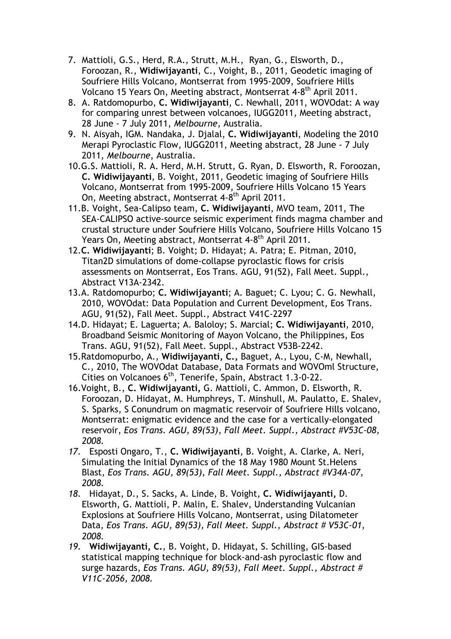- 7. Mattioli, G.S., Herd, R.A., Strutt, M.H., Ryan, G., Elsworth, D., Foroozan, R., **Widiwijayanti**, C., Voight, B., 2011, Geodetic imaging of Soufriere Hills Volcano, Montserrat from 1995-2009, Soufriere Hills Volcano 15 Years On, Meeting abstract, Montserrat 4-8th April 2011.
- 8. A. Ratdomopurbo, **C. Widiwijayanti**, C. Newhall, 2011, WOVOdat: A way for comparing unrest between volcanoes, IUGG2011, Meeting abstract, 28 June - 7 July 2011, *Melbourne*, Australia.
- 9. N. Aisyah, IGM. Nandaka, J. Djalal, **C. Widiwijayanti**, Modeling the 2010 Merapi Pyroclastic Flow, IUGG2011, Meeting abstract, 28 June - 7 July 2011, *Melbourne*, Australia.
- 10.G.S. Mattioli, R. A. Herd, M.H. Strutt, G. Ryan, D. Elsworth, R. Foroozan, **C. Widiwijayanti**, B. Voight, 2011, Geodetic imaging of Soufriere Hills Volcano, Montserrat from 1995-2009, Soufriere Hills Volcano 15 Years On, Meeting abstract, Montserrat 4-8th April 2011.
- 11.B. Voight, Sea-Calipso team, **C. Widiwijayanti**, MVO team, 2011, The SEA-CALIPSO active-source seismic experiment finds magma chamber and crustal structure under Soufriere Hills Volcano, Soufriere Hills Volcano 15 Years On, Meeting abstract, Montserrat 4-8<sup>th</sup> April 2011.
- 12.**C. Widiwijayanti**; B. Voight; D. Hidayat; A. Patra; E. Pitman, 2010, Titan2D simulations of dome-collapse pyroclastic flows for crisis assessments on Montserrat, Eos Trans. AGU, 91(52), Fall Meet. Suppl., Abstract V13A-2342.
- 13.A. Ratdomopurbo; **C. Widiwijayanti**; A. Baguet; C. Lyou; C. G. Newhall, 2010, WOVOdat: Data Population and Current Development, Eos Trans. AGU, 91(52), Fall Meet. Suppl., Abstract V41C-2297
- 14.D. Hidayat; E. Laguerta; A. Baloloy; S. Marcial; **C. Widiwijayanti**, 2010, Broadband Seismic Monitoring of Mayon Volcano, the Philippines, Eos Trans. AGU, 91(52), Fall Meet. Suppl., Abstract V53B-2242.
- 15.Ratdomopurbo, A., **Widiwijayanti, C.,** Baguet, A., Lyou, C-M, Newhall, C., 2010, The WOVOdat Database, Data Formats and WOVOml Structure, Cities on Volcanoes 6<sup>th</sup>, Tenerife, Spain, Abstract 1.3-0-22.
- 16.Voight, B., **C. Widiwijayanti,** G. Mattioli, C. Ammon, D. Elsworth, R. Foroozan, D. Hidayat, M. Humphreys, T. Minshull, M. Paulatto, E. Shalev, S. Sparks, S Conundrum on magmatic reservoir of Soufriere Hills volcano, Montserrat: enigmatic evidence and the case for a vertically-elongated reservoir, *Eos Trans. AGU, 89(53), Fall Meet. Suppl., Abstract #V53C-08, 2008.*
- *17.* Esposti Ongaro, T., **C. Widiwijayanti**, B. Voight, A. Clarke, A. Neri, Simulating the Initial Dynamics of the 18 May 1980 Mount St.Helens Blast, *Eos Trans. AGU, 89(53), Fall Meet. Suppl., Abstract #V34A-07, 2008.*
- *18.* Hidayat, D., S. Sacks, A. Linde, B. Voight, **C. Widiwijayanti,** D. Elsworth, G. Mattioli, P. Malin, E. Shalev, Understanding Vulcanian Explosions at Soufriere Hills Volcano, Montserrat, using Dilatometer Data, *Eos Trans. AGU, 89(53), Fall Meet. Suppl., Abstract # V53C-01, 2008.*
- *19.* **Widiwijayanti, C.**, B. Voight, D. Hidayat, S. Schilling, GIS-based statistical mapping technique for block-and-ash pyroclastic flow and surge hazards, *Eos Trans. AGU, 89(53), Fall Meet. Suppl., Abstract # V11C-2056, 2008.*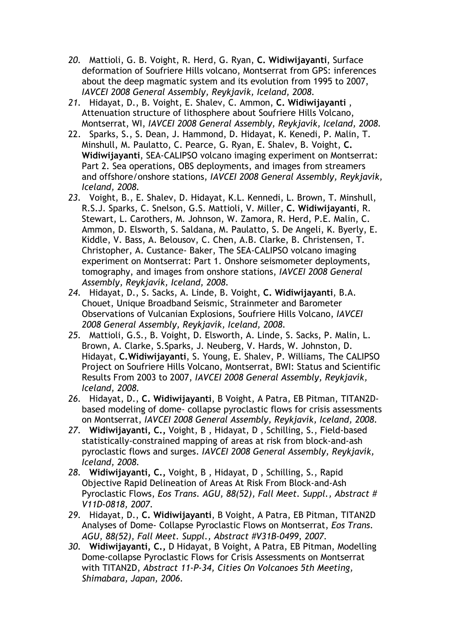- *20.* Mattioli, G. B. Voight, R. Herd, G. Ryan, **C. Widiwijayanti**, Surface deformation of Soufriere Hills volcano, Montserrat from GPS: inferences about the deep magmatic system and its evolution from 1995 to 2007, *IAVCEI 2008 General Assembly, Reykjavík, Iceland, 2008.*
- *21.* Hidayat, D., B. Voight, E. Shalev, C. Ammon, **C. Widiwijayanti** , Attenuation structure of lithosphere about Soufriere Hills Volcano, Montserrat, WI, *IAVCEI 2008 General Assembly, Reykjavík, Iceland, 2008.*
- 22. Sparks, S., S. Dean, J. Hammond, D. Hidayat, K. Kenedi, P. Malin, T. Minshull, M. Paulatto, C. Pearce, G. Ryan, E. Shalev, B. Voight, **C. Widiwijayanti**, SEA-CALIPSO volcano imaging experiment on Montserrat: Part 2. Sea operations, OBS deployments, and images from streamers and offshore/onshore stations, *IAVCEI 2008 General Assembly, Reykjavík, Iceland, 2008.*
- *23.* Voight, B., E. Shalev, D. Hidayat, K.L. Kennedi, L. Brown, T. Minshull, R.S.J. Sparks, C. Snelson, G.S. Mattioli, V. Miller, **C. Widiwijayanti**, R. Stewart, L. Carothers, M. Johnson, W. Zamora, R. Herd, P.E. Malin, C. Ammon, D. Elsworth, S. Saldana, M. Paulatto, S. De Angeli, K. Byerly, E. Kiddle, V. Bass, A. Belousov, C. Chen, A.B. Clarke, B. Christensen, T. Christopher, A. Custance- Baker, The SEA-CALIPSO volcano imaging experiment on Montserrat: Part 1. Onshore seismometer deployments, tomography, and images from onshore stations, *IAVCEI 2008 General Assembly, Reykjavík, Iceland, 2008.*
- *24.* Hidayat, D., S. Sacks, A. Linde, B. Voight, **C. Widiwijayanti**, B.A. Chouet, Unique Broadband Seismic, Strainmeter and Barometer Observations of Vulcanian Explosions, Soufriere Hills Volcano, *IAVCEI 2008 General Assembly, Reykjavík, Iceland, 2008.*
- *25.* Mattioli, G.S., B. Voight, D. Elsworth, A. Linde, S. Sacks, P. Malin, L. Brown, A. Clarke, S.Sparks, J. Neuberg, V. Hards, W. Johnston, D. Hidayat, **C.Widiwijayanti**, S. Young, E. Shalev, P. Williams, The CALIPSO Project on Soufriere Hills Volcano, Montserrat, BWI: Status and Scientific Results From 2003 to 2007, *IAVCEI 2008 General Assembly, Reykjavík, Iceland, 2008.*
- *26.* Hidayat, D., **C. Widiwijayanti**, B Voight, A Patra, EB Pitman, TITAN2Dbased modeling of dome- collapse pyroclastic flows for crisis assessments on Montserrat, *IAVCEI 2008 General Assembly, Reykjavík, Iceland, 2008.*
- *27.* **Widiwijayanti, C.,** Voight, B , Hidayat, D , Schilling, S., Field-based statistically-constrained mapping of areas at risk from block-and-ash pyroclastic flows and surges. *IAVCEI 2008 General Assembly, Reykjavík, Iceland, 2008.*
- *28.* **Widiwijayanti, C.,** Voight, B , Hidayat, D , Schilling, S., Rapid Objective Rapid Delineation of Areas At Risk From Block-and-Ash Pyroclastic Flows, *Eos Trans. AGU, 88(52), Fall Meet. Suppl., Abstract # V11D-0818, 2007.*
- *29.* Hidayat, D., **C. Widiwijayanti**, B Voight, A Patra, EB Pitman, TITAN2D Analyses of Dome- Collapse Pyroclastic Flows on Montserrat, *Eos Trans. AGU, 88(52), Fall Meet. Suppl., Abstract #V31B-0499, 2007.*
- *30.* **Widiwijayanti, C.,** D Hidayat, B Voight, A Patra, EB Pitman, Modelling Dome-collapse Pyroclastic Flows for Crisis Assessments on Montserrat with TITAN2D, *Abstract 11-P-34, Cities On Volcanoes 5th Meeting, Shimabara, Japan, 2006.*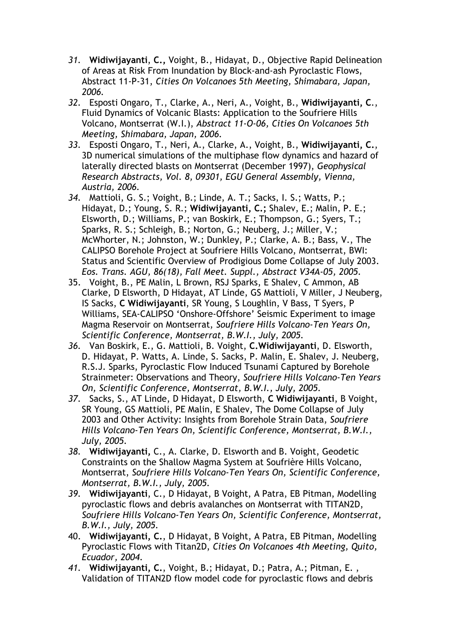- *31.* **Widiwijayanti**, **C.,** Voight, B., Hidayat, D., Objective Rapid Delineation of Areas at Risk From Inundation by Block-and-ash Pyroclastic Flows, Abstract 11-P-31, *Cities On Volcanoes 5th Meeting, Shimabara, Japan, 2006.*
- *32.* Esposti Ongaro, T., Clarke, A., Neri, A., Voight, B., **Widiwijayanti, C**., Fluid Dynamics of Volcanic Blasts: Application to the Soufriere Hills Volcano, Montserrat (W.I.), *Abstract 11-O-06, Cities On Volcanoes 5th Meeting, Shimabara, Japan, 2006.*
- *33.* Esposti Ongaro, T., Neri, A., Clarke, A., Voight, B., **Widiwijayanti, C.**, 3D numerical simulations of the multiphase flow dynamics and hazard of laterally directed blasts on Montserrat (December 1997), *Geophysical Research Abstracts, Vol. 8, 09301, EGU General Assembly, Vienna, Austria, 2006.*
- *34.* Mattioli, G. S.; Voight, B.; Linde, A. T.; Sacks, I. S.; Watts, P.; Hidayat, D.; Young, S. R.; **Widiwijayanti, C.;** Shalev, E.; Malin, P. E.; Elsworth, D.; Williams, P.; van Boskirk, E.; Thompson, G.; Syers, T.; Sparks, R. S.; Schleigh, B.; Norton, G.; Neuberg, J.; Miller, V.; McWhorter, N.; Johnston, W.; Dunkley, P.; Clarke, A. B.; Bass, V., The CALIPSO Borehole Project at Soufriere Hills Volcano, Montserrat, BWI: Status and Scientific Overview of Prodigious Dome Collapse of July 2003. *Eos. Trans. AGU, 86(18), Fall Meet. Suppl., Abstract V34A-05, 2005.*
- 35. Voight, B., PE Malin, L Brown, RSJ Sparks, E Shalev, C Ammon, AB Clarke, D Elsworth, D Hidayat, AT Linde, GS Mattioli, V Miller, J Neuberg, IS Sacks, **C Widiwijayanti**, SR Young, S Loughlin, V Bass, T Syers, P Williams, SEA-CALIPSO 'Onshore-Offshore' Seismic Experiment to image Magma Reservoir on Montserrat, *Soufriere Hills Volcano-Ten Years On, Scientific Conference, Montserrat, B.W.I., July, 2005.*
- *36.* Van Boskirk, E., G. Mattioli, B. Voight, **C.Widiwijayanti**, D. Elsworth, D. Hidayat, P. Watts, A. Linde, S. Sacks, P. Malin, E. Shalev, J. Neuberg, R.S.J. Sparks, Pyroclastic Flow Induced Tsunami Captured by Borehole Strainmeter: Observations and Theory, *Soufriere Hills Volcano-Ten Years On, Scientific Conference, Montserrat, B.W.I., July, 2005.*
- *37.* Sacks, S., AT Linde, D Hidayat, D Elsworth, **C Widiwijayanti**, B Voight, SR Young, GS Mattioli, PE Malin, E Shalev, The Dome Collapse of July 2003 and Other Activity: Insights from Borehole Strain Data, *Soufriere Hills Volcano-Ten Years On, Scientific Conference, Montserrat, B.W.I., July, 2005.*
- *38.* **Widiwijayanti,** C., A. Clarke, D. Elsworth and B. Voight, Geodetic Constraints on the Shallow Magma System at Soufrière Hills Volcano, Montserrat, *Soufriere Hills Volcano-Ten Years On, Scientific Conference, Montserrat, B.W.I., July, 2005.*
- *39.* **Widiwijayanti**, C., D Hidayat, B Voight, A Patra, EB Pitman, Modelling pyroclastic flows and debris avalanches on Montserrat with TITAN2D, *Soufriere Hills Volcano-Ten Years On, Scientific Conference, Montserrat, B.W.I., July, 2005.*
- 40. **Widiwijayanti, C.**, D Hidayat, B Voight, A Patra, EB Pitman, Modelling Pyroclastic Flows with Titan2D, *Cities On Volcanoes 4th Meeting, Quito, Ecuador, 2004*.
- *41.* **Widiwijayanti, C.**, Voight, B.; Hidayat, D.; Patra, A.; Pitman, E. , Validation of TITAN2D flow model code for pyroclastic flows and debris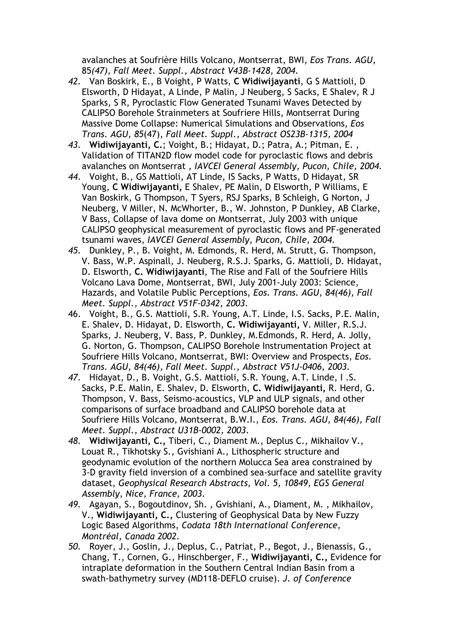avalanches at Soufrière Hills Volcano, Montserrat, BWI, *Eos Trans. AGU,*  85*(47), Fall Meet. Suppl., Abstract V43B-1428, 2004.*

- *42.* Van Boskirk, E., B Voight, P Watts, **C Widiwijayanti**, G S Mattioli, D Elsworth, D Hidayat, A Linde, P Malin, J Neuberg, S Sacks, E Shalev, R J Sparks, S R, Pyroclastic Flow Generated Tsunami Waves Detected by CALIPSO Borehole Strainmeters at Soufriere Hills, Montserrat During Massive Dome Collapse: Numerical Simulations and Observations, *Eos Trans. AGU, 85*(47), *Fall Meet. Suppl., Abstract OS23B-1315, 2004*
- *43.* **Widiwijayanti, C.**; Voight, B.; Hidayat, D.; Patra, A.; Pitman, E. , Validation of TITAN2D flow model code for pyroclastic flows and debris avalanches on Montserrat , *IAVCEI General Assembly, Pucon, Chile, 2004.*
- *44.* Voight, B., GS Mattioli, AT Linde, IS Sacks, P Watts, D Hidayat, SR Young, **C Widiwijayanti,** E Shalev, PE Malin, D Elsworth, P Williams, E Van Boskirk, G Thompson, T Syers, RSJ Sparks, B Schleigh, G Norton, J Neuberg, V Miller, N. McWhorter, B., W. Johnston, P Dunkley, AB Clarke, V Bass, Collapse of lava dome on Montserrat, July 2003 with unique CALIPSO geophysical measurement of pyroclastic flows and PF-generated tsunami waves, *IAVCEI General Assembly, Pucon, Chile, 2004.*
- *45.* Dunkley, P., B. Voight, M. Edmonds, R. Herd, M. Strutt, G. Thompson, V. Bass, W.P. Aspinall, J. Neuberg, R.S.J. Sparks, G. Mattioli, D. Hidayat, D. Elsworth, **C. Widiwijayanti**, The Rise and Fall of the Soufriere Hills Volcano Lava Dome, Montserrat, BWI, July 2001-July 2003: Science, Hazards, and Volatile Public Perceptions, *Eos. Trans. AGU, 84(46), Fall Meet. Suppl., Abstract V51F-0342, 2003.*
- 46. Voight, B., G.S. Mattioli, S.R. Young, A.T. Linde, I.S. Sacks, P.E. Malin, E. Shalev, D. Hidayat, D. Elsworth, **C. Widiwijayanti,** V. Miller, R.S.J. Sparks, J. Neuberg, V. Bass, P. Dunkley, M.Edmonds, R. Herd, A. Jolly, G. Norton, G. Thompson, CALIPSO Borehole Instrumentation Project at Soufriere Hills Volcano, Montserrat, BWI: Overview and Prospects, *Eos. Trans. AGU, 84(46), Fall Meet. Suppl., Abstract V51J-0406, 2003.*
- *47.* Hidayat, D., B. Voight, G.S. Mattioli, S.R. Young, A.T. Linde, I .S. Sacks, P.E. Malin, E. Shalev, D. Elsworth, **C. Widiwijayanti,** R. Herd, G. Thompson, V. Bass, Seismo-acoustics, VLP and ULP signals, and other comparisons of surface broadband and CALIPSO borehole data at Soufriere Hills Volcano, Montserrat, B.W.I., *Eos. Trans. AGU, 84(46), Fall Meet. Suppl., Abstract U31B-0002, 2003.*
- *48.* **Widiwijayanti, C.,** Tiberi, C., Diament M., Deplus C., Mikhailov V., Louat R., Tikhotsky S., Gvishiani A., Lithospheric structure and geodynamic evolution of the northern Molucca Sea area constrained by 3-D gravity field inversion of a combined sea-surface and satellite gravity dataset, *Geophysical Research Abstracts, Vol. 5, 10849, EGS General Assembly, Nice, France, 2003.*
- *49.* Agayan, S., Bogoutdinov, Sh. , Gvishiani, A., Diament, M. , Mikhailov, V., **Widiwijayanti, C.,** Clustering of Geophysical Data by New Fuzzy Logic Based Algorithms, *Codata 18th International Conference, Montréal, Canada 2002.*
- *50.* Royer, J., Goslin, J., Deplus, C., Patriat, P., Begot, J., Bienassis, G., Chang, T., Cornen, G., Hinschberger, F., **Widiwijayanti, C.,** Evidence for intraplate deformation in the Southern Central Indian Basin from a swath-bathymetry survey (MD118-DEFLO cruise). *J. of Conference*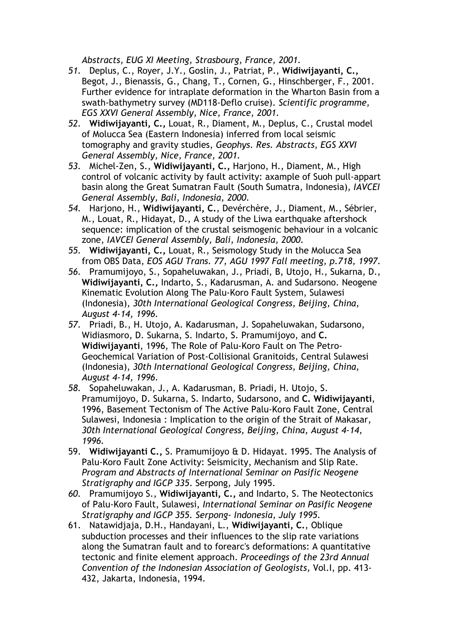*Abstracts, EUG XI Meeting, Strasbourg, France, 2001.*

- *51.* Deplus, C., Royer, J.Y., Goslin, J., Patriat, P., **Widiwijayanti, C.,**  Begot, J., Bienassis, G., Chang, T., Cornen, G., Hinschberger, F., 2001. Further evidence for intraplate deformation in the Wharton Basin from a swath-bathymetry survey (MD118-Deflo cruise). *Scientific programme, EGS XXVI General Assembly, Nice, France, 2001.*
- *52.* **Widiwijayanti, C.,** Louat, R., Diament, M., Deplus, C., Crustal model of Molucca Sea (Eastern Indonesia) inferred from local seismic tomography and gravity studies, *Geophys. Res. Abstracts*, *EGS XXVI General Assembly, Nice, France, 2001.*
- *53.* Michel-Zen, S., **Widiwijayanti, C.,** Harjono, H., Diament, M., High control of volcanic activity by fault activity: axample of Suoh pull-appart basin along the Great Sumatran Fault (South Sumatra, Indonesia), *IAVCEI General Assembly, Bali, Indonesia, 2000.*
- *54.* Harjono, H., **Widiwijayanti, C.**, Devérchère, J., Diament, M., Sébrier, M., Louat, R., Hidayat, D., A study of the Liwa earthquake aftershock sequence: implication of the crustal seismogenic behaviour in a volcanic zone, *IAVCEI General Assembly, Bali, Indonesia, 2000.*
- *55.* **Widiwijayanti, C.,** Louat, R., Seismology Study in the Molucca Sea from OBS Data, *EOS AGU Trans. 77, AGU 1997 Fall meeting, p.718, 1997.*
- *56.* Pramumijoyo, S., Sopaheluwakan, J., Priadi, B, Utojo, H., Sukarna, D., **Widiwijayanti, C.,** Indarto, S., Kadarusman, A. and Sudarsono. Neogene Kinematic Evolution Along The Palu-Koro Fault System, Sulawesi (Indonesia), *30th International Geological Congress, Beijing, China, August 4-14, 1996.*
- *57.* Priadi, B., H. Utojo, A. Kadarusman, J. Sopaheluwakan, Sudarsono, Widiasmoro, D. Sukarna, S. Indarto, S. Pramumijoyo, and **C. Widiwijayanti**, 1996, The Role of Palu-Koro Fault on The Petro-Geochemical Variation of Post-Collisional Granitoids, Central Sulawesi (Indonesia), *30th International Geological Congress, Beijing, China, August 4-14, 1996.*
- *58.* Sopaheluwakan, J., A. Kadarusman, B. Priadi, H. Utojo, S. Pramumijoyo, D. Sukarna, S. Indarto, Sudarsono, and **C. Widiwijayanti**, 1996, Basement Tectonism of The Active Palu-Koro Fault Zone, Central Sulawesi, Indonesia : Implication to the origin of the Strait of Makasar, *30th International Geological Congress, Beijing, China, August 4-14, 1996.*
- 59. **Widiwijayanti C.,** S. Pramumijoyo & D. Hidayat. 1995. The Analysis of Palu-Koro Fault Zone Activity: Seismicity, Mechanism and Slip Rate. *Program and Abstracts of International Seminar on Pasific Neogene Stratigraphy and IGCP 335*. Serpong, July 1995.
- *60.* Pramumijoyo S., **Widiwijayanti, C.,** and Indarto, S. The Neotectonics of Palu-Koro Fault, Sulawesi, *International Seminar on Pasific Neogene Stratigraphy and IGCP 355. Serpong- Indonesia, July 1995.*
- 61. Natawidjaja, D.H., Handayani, L., **Widiwijayanti, C.**, Oblique subduction processes and their influences to the slip rate variations along the Sumatran fault and to forearc's deformations: A quantitative tectonic and finite element approach. *Proceedings of the 23rd Annual Convention of the Indonesian Association of Geologists,* Vol.I, pp. 413- 432, Jakarta, Indonesia, 1994.